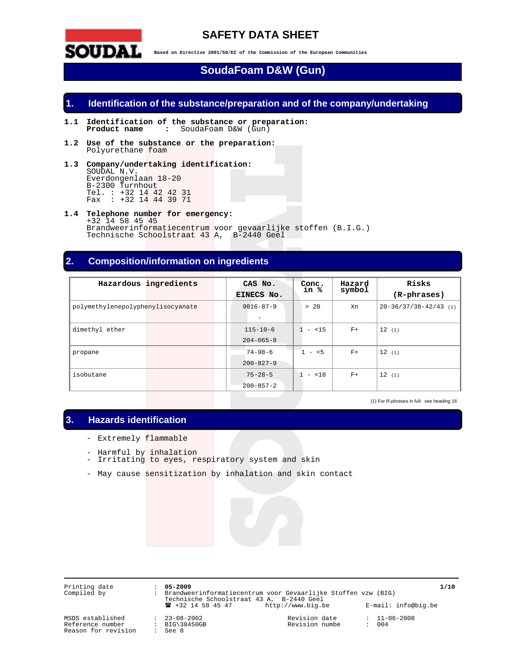

# **SAFETY DATA SHEET**

**Based on Directive 2001/58/EC of the Commission of the European Communities** 

# **SoudaFoam D&W (Gun)**

## **1. Identification of the substance/preparation and of the company/undertaking**

- **1.1 Identification of the substance or preparation: Product name :** SoudaFoam D&W (Gun)
- **1.2 Use of the substance or the preparation:**  Polyurethane foam
- **1.3 Company/undertaking identification:**  SOUDAL N.V. Everdongenlaan 18-20 B-2300 Turnhout Tel. : +32 14 42 42 31 Fax : +32 14 44 39 71
- **1.4 Telephone number for emergency:**  +32 14 58 45 45 Brandweerinformatiecentrum voor gevaarlijke stoffen (B.I.G.) Technische Schoolstraat 43 A, B-2440 Geel

## **2. Composition/information on ingredients**

| Hazardous                         | ingredients | CAS No.<br>EINECS No.                | Conc.<br>in % | Hazard<br>symbol | Risks<br>(R-phrases)              |
|-----------------------------------|-------------|--------------------------------------|---------------|------------------|-----------------------------------|
| polymethylenepolyphenylisocyanate |             | $9016 - 87 - 9$<br>$\qquad \qquad -$ | >20           | Xn               | $20 - 36 / 37 / 38 - 42 / 43$ (1) |
| dimethyl ether                    |             | $115 - 10 - 6$<br>$204 - 065 - 8$    | < 15<br>$-$   | $F+$             | 12(1)                             |
| propane                           |             | $74 - 98 - 6$<br>$200 - 827 - 9$     | $1 - 5$       | $F+$             | 12(1)                             |
| isobutane                         |             | $75 - 28 - 5$<br>$200 - 857 - 2$     | 1<br>$- < 10$ | $F+$             | 12(1)                             |

(1) For R-phrases in full: see heading 16

## **3. Hazards identification**

- Extremely flammable
- Harmful by inhalation
- Irritating to eyes, respiratory system and skin
- May cause sensitization by inhalation and skin contact

Printing date : **05-2009 1/10**  Compiled by : Brandweerinformatiecentrum voor Gevaarlijke Stoffen vzw (BIG) Technische Schoolstraat 43 A, B-2440 Geel ! +32 14 58 45 47 http://www.big.be E-mail: info@big.be

MSDS established : 23-08-2002 Revision date : 11-06-2008<br>
Reference number : BIG\38450GB<br>
Reason for revision : See 8 Reference number Reason for revision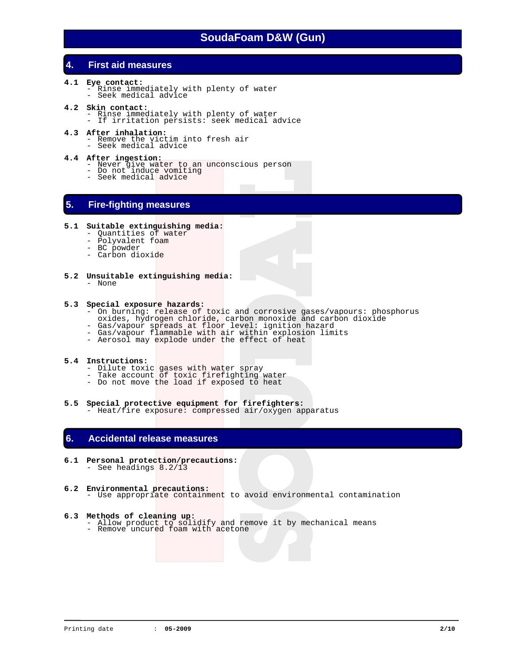# **4. First aid measures**

- **4.1 Eye contact:**  - Rinse immediately with plenty of water - Seek medical advice
- **4.2 Skin contact:**  - Rinse immediately with plenty of water - If irritation persists: seek medical advice
- 
- **4.3 After inhalation:**<br>- Remove the victim into fresh air<br>- Seek medical advice
	-
- **4.4 After ingestion:**  - Never give water to an unconscious person - Do not induce vomiting - Seek medical advice

# **5. Fire-fighting measures**

#### **5.1 Suitable extinguishing media:**

- Quantities of water
- Polyvalent foam
- BC powder
- Carbon dioxide
- **5.2 Unsuitable extinguishing media:**  - None

#### **5.3 Special exposure hazards:**

- On burning: release of toxic and corrosive gases/vapours: phosphorus
- oxides, hydrogen chloride, carbon monoxide and carbon dioxide - Gas/vapour spreads at floor level: ignition hazard
- Gas/vapour flammable with air within explosion limits
- Aerosol may explode under the effect of heat

### **5.4 Instructions:**

- Dilute toxic gases with water spray
- Take account of toxic firefighting water
- Do not move the load if exposed to heat
- **5.5 Special protective equipment for firefighters:**  - Heat/fire exposure: compressed air/oxygen apparatus

# **6. Accidental release measures**

- **6.1 Personal protection/precautions:**  - See headings 8.2/13
- **6.2 Environmental precautions:**  - Use appropriate containment to avoid environmental contamination
- 
- **6.3 Methods of cleaning up:** <br>- Allow product to solidify and remove it by mechanical means - Allow product to soliding and ---<br>- Remove uncured foam with acetone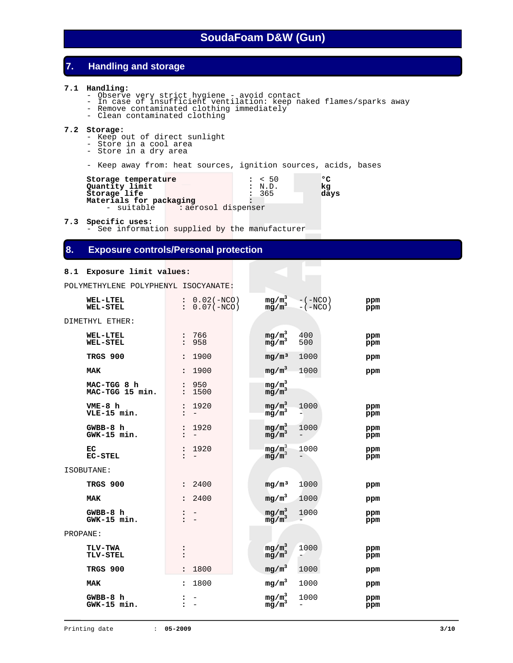# **7. Handling and storage**

#### **7.1 Handling:**

- 
- Observe very strict hygiene avoid contact In case of insufficient ventilation: keep naked flames/sparks away
- Remove contaminated clothing immediately
- Clean contaminated clothing

#### **7.2 Storage:**

- Keep out of direct sunlight
- Store in a cool area
	- Store in a dry area
	- Keep away from: heat sources, ignition sources, acids, bases

| Storage temperature<br>Quantity limit |                     | $\frac{1}{2}$ < 50<br>: N.D. | $\circ$<br>kq |
|---------------------------------------|---------------------|------------------------------|---------------|
| Storage life                          |                     | 365                          | days          |
| Materials for packaging               |                     |                              |               |
| - suitable                            | : aerosol dispenser |                              |               |

**7.3 Specific uses:**

See information supplied by the manufacturer

## **8. Exposure controls/Personal protection**

#### **8.1 Exposure limit values:**

POLYMETHYLENE POLYPHENYL ISOCYANATE:

| <b>WEL-LTEL</b><br><b>WEL-STEL</b> | $: 0.02(-NCO)$<br>$: 0.07(-NCO)$ | mg/m <sup>3</sup> -(-NCO)<br>mg/m <sup>3</sup> -(-NCO)                | ppm<br>ppm |
|------------------------------------|----------------------------------|-----------------------------------------------------------------------|------------|
| DIMETHYL ETHER:                    |                                  |                                                                       |            |
| <b>WEL-LTEL</b><br><b>WEL-STEL</b> | : 766<br>: 958                   | $mg/m^3$<br>mg/m $^3$<br>400<br>500                                   | ppm<br>ppm |
| TRGS 900                           | 1900<br>$\ddot{\phantom{a}}$     | mg/m <sup>3</sup><br>1000                                             | ppm        |
| <b>MAK</b>                         | 1900<br>$\ddot{\phantom{a}}$     | $mg/m^3$<br>1000                                                      | ppm        |
| MAC-TGG 8 h<br>MAC-TGG 15 min.     | : 950<br>1500<br>$\mathbf{r}$    | $\begin{array}{l} \mathfrak{mg/m}^3 \\ \mathfrak{mg/m}^3 \end{array}$ |            |
| $VME-8$ h<br>VLE-15 min.           | 1920<br>:                        | $mg/m^3$<br>$mg/m^3$<br>1000                                          | ppm<br>ppm |
| GWBB-8 h<br>GWK-15 min.            | : 1920<br>$-$                    | $mg/m^3$<br>mg/m <sup>3</sup><br>1000                                 | ppm<br>ppm |
| EC<br><b>EC-STEL</b>               | : 1920                           | $mg/m^3$<br>mg/m <sup>3</sup><br>1000                                 | ppm<br>ppm |
| ISOBUTANE:                         |                                  |                                                                       |            |
| TRGS 900                           | : 2400                           | $mq/m^3$<br>1000                                                      | ppm        |
| <b>MAK</b>                         | 2400<br>$\ddot{\phantom{a}}$     | mg/m <sup>3</sup><br>1000                                             | ppm        |
| $GWBB-8 h$<br>GWK-15 min.          | $\mathbf{r}$ $-$                 | $mg/m^3$<br>mg/m $^3$<br>1000                                         | ppm<br>ppm |
| PROPANE:                           |                                  |                                                                       |            |
| <b>TLV-TWA</b><br>TLV-STEL         |                                  | $\frac{mg/m^3}{mg/m^3}$<br>1000                                       | ppm<br>ppm |
| TRGS 900                           | 1800                             | $mg/m^3$<br>1000                                                      | ppm        |
| <b>MAK</b>                         | 1800<br>$\ddot{\phantom{a}}$     | $mg/m^3$<br>1000                                                      | ppm        |
| GWBB-8 h<br>GWK-15 min.            | $\mathbf{r}$ $-$                 | $mg/m^3$<br>mg/m <sup>3</sup><br>1000                                 | ppm<br>ppm |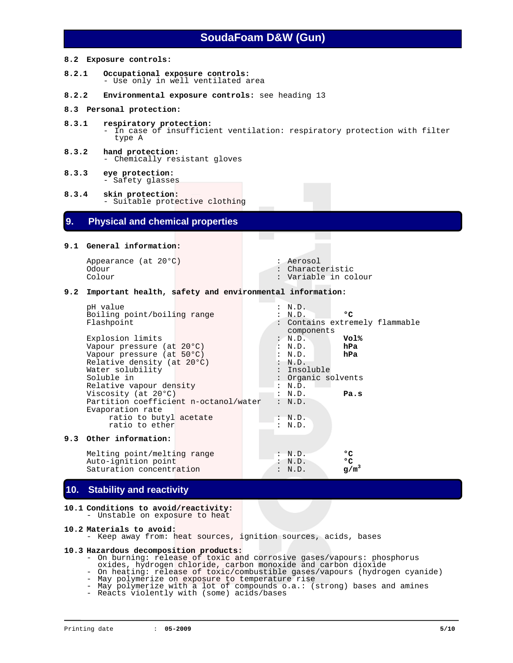#### **8.2 Exposure controls:**

- **8.2.1 Occupational exposure controls:** - Use only in well ventilated area
- **8.2.2 Environmental exposure controls:** see heading 13
- **8.3 Personal protection:**
- **8.3.1 respiratory protection:**  - In case of insufficient ventilation: respiratory protection with filter type A
- **8.3.2 hand protection:**  - Chemically resistant gloves
- **8.3.3 eye protection:**  - Safety glasses
- **8.3.4 skin protection:**  - Suitable protective clothing

### **9. Physical and chemical properties**

#### **9.1 General information:**

Appearance (at 20°C) : Aerosol Odour : Characteristic<br>
Colour : Characteristic<br>
Colour : Variable in co

: Variable in colour

: Contains extremely flammable

#### **9.2 Important health, safety and environmental information:**

pH value : N.D. Boiling point/boiling range : N.D. **°C**<br>Flashpoint : Contains extre

components<br>: N.D. Explosion limits  $\begin{array}{ccc}\n\text{Exph} & \text{if } N.D. \\
\text{Vapour pressure (at 20°C)} & \text{if } N.D. \\
\end{array}$ Vapour pressure (at 20°C) <sup>:</sup> N.D. **hPa**<br>Vapour pressure (at 50°C) : N.D. **hPa** Vapour pressure (at 50°C) : N.D.<br>Relative density (at 20°C) : N.D. Relative density (at 20°C) : N.D.<br>Water solubility : Insoluble : Water solubility<br>Soluble in : Organic solvents Relative vapour density  $\begin{array}{ccc} \text{Relative} & \text{in } D. \\ \text{Viscosity} & \text{(at } 20^{\circ}\text{C}) & \text{in } D. \end{array}$ Viscosity (at 20°C)  $\cdot$  N.D. **Pa.s**<br>Partition coefficient n-octanol/water  $\cdot$  N.D. Partition coefficient n-octanol/water Evaporation rate ratio to butyl acetate : N.D.<br>ratio to ether : N.D. ratio to ether

#### **9.3 Other information:**

Melting point/melting range : N.D. **°C**<br>Auto-ignition point : N.D. **°C** Auto-ignition point : N.D. **°C**<br>Saturation concentration : N.D.  $g/m^3$ Saturation concentration

### **10. Stability and reactivity**

**10.1 Conditions to avoid/reactivity:**  - Unstable on exposure to heat

#### **10.2 Materials to avoid:**

- Keep away from: heat sources, ignition sources, acids, bases

#### **10.3 Hazardous decomposition products:**

- On burning: release of toxic and corrosive gases/vapours: phosphorus
	- oxides, hydrogen chloride, carbon monoxide and carbon dioxide
- On heating: release of toxic/combustible gases/vapours (hydrogen cyanide) - May polymerize on exposure to temperature rise
- May polymerize with a lot of compounds o.a.: (strong) bases and amines
	- Reacts violently with (some) acids/bases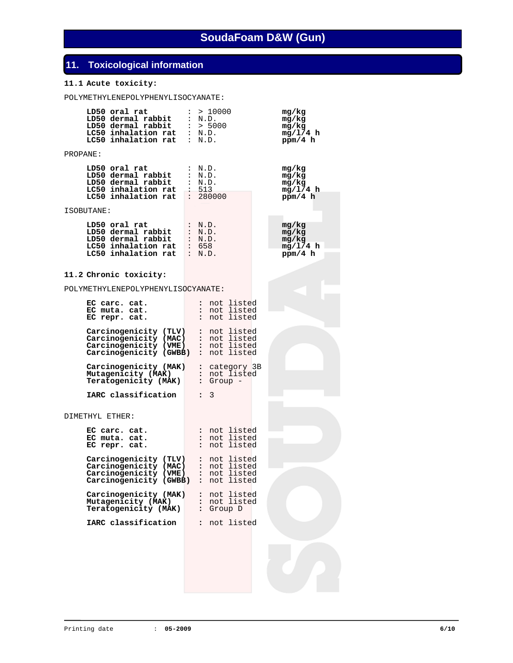# **11. Toxicological information**

## **11.1 Acute toxicity:**

POLYMETHYLENEPOLYPHENYLISOCYANATE:

| LD50 oral rat<br>LD50 oral rat : > 10000<br>LD50 dermal rabbit : N.D.<br>LD50 dermal rabbit : > 5000<br>LC50 inhalation rat : N.D.<br>LC50 inhalation rat : N.D. |  | : > 10000                                                                          | mg/kg<br>mg/kg<br>mg/kg<br>mg/1/4 h<br>ppm/4 h |
|------------------------------------------------------------------------------------------------------------------------------------------------------------------|--|------------------------------------------------------------------------------------|------------------------------------------------|
| PROPANE:                                                                                                                                                         |  |                                                                                    |                                                |
| LD50 oral rat<br>LD50 dermal rabbit<br>LD50 dermal rabbit<br>LC50 inhalation rat<br>LC50 inhalation rat                                                          |  | : N.D.<br>: N.D.<br>: N.D.<br>: 513<br>: 280000                                    | mg/kg<br>mg/kg<br>mg/kg<br>mg/1/4 h<br>ppm/4 h |
| ISOBUTANE:                                                                                                                                                       |  |                                                                                    |                                                |
| LD50 oral rat<br>LD50 dermal rabbit<br>LD50 dermal rabbit<br>LC50 inhalation rat<br>$LC50$ inhalation rat : N.D.                                                 |  | : N.D.<br>: N.D.<br>: N.D.<br>: 658                                                | mg/kg<br>mg/kg<br>mg/kg<br>mg/L/4 h<br>ppm/4 h |
| 11.2 Chronic toxicity:                                                                                                                                           |  |                                                                                    |                                                |
| POLYMETHYLENEPOLYPHENYLISOCYANATE:                                                                                                                               |  |                                                                                    |                                                |
| EC carc. cat.<br>EC muta. cat.<br>EC repr. cat.                                                                                                                  |  | : not listed<br>: not listed<br>: not listed                                       |                                                |
| Carcinogenicity (TLV)<br>Carcinogenicity (MAC)<br>Carcinogenicity (VME)<br>Carcinogenicity (GWBB)                                                                |  | : not listed<br>: not listed<br>: not listed<br>: not listed                       |                                                |
| Carcinogenicity (MAK)<br>Mutagenicity (MAK)<br>Teratogenicity (MAK)                                                                                              |  | : category 3B<br>: not listed<br>$:$ Group $-$                                     |                                                |
| IARC classification                                                                                                                                              |  | 3<br>$\ddot{\phantom{a}}$                                                          |                                                |
| DIMETHYL ETHER:                                                                                                                                                  |  |                                                                                    |                                                |
| EC carc. cat.<br>EC muta. cat.<br>EC repr. cat.                                                                                                                  |  | : not listed<br>: not listed<br>: not listed                                       |                                                |
| Carcinogenicity (TLV)<br>Carcinogenicity (MAC)<br>Carcinogenicity (VME)<br>Carcinogenicity (GWBB)                                                                |  | : not listed<br>: not listed<br>: not listed<br>$\ddot{\phantom{a}}$<br>not listed |                                                |
| Carcinogenicity (MAK)<br>Mutagenicity (MAK)<br>Teratogenicity (MAK)                                                                                              |  | : not listed<br>: not listed<br>: Group D                                          |                                                |
| IARC classification                                                                                                                                              |  | : not listed                                                                       |                                                |
|                                                                                                                                                                  |  |                                                                                    |                                                |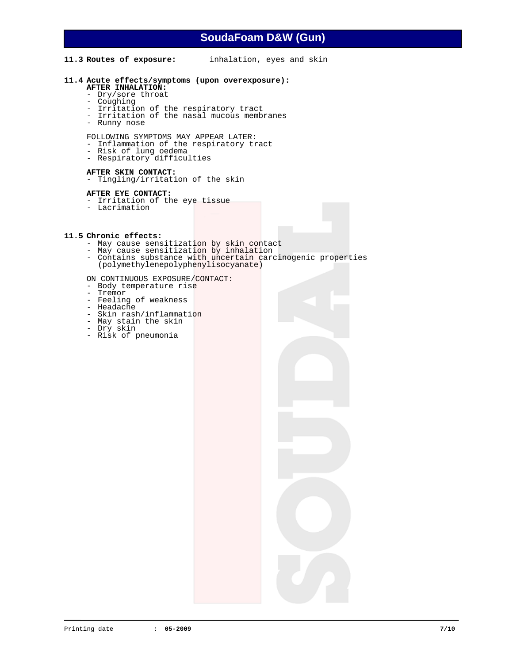#### **11.3 Routes of exposure:** inhalation, eyes and skin

#### **11.4 Acute effects/symptoms (upon overexposure):**

- **AFTER INHALATION:** 
	- Dry/sore throat
	- Coughing
- Irritation of the respiratory tract
- Irritation of the nasal mucous membranes
	- Runny nose

FOLLOWING SYMPTOMS MAY APPEAR LATER:

- Inflammation of the respiratory tract
- Risk of lung oedema
- Respiratory difficulties

#### **AFTER SKIN CONTACT:**

- Tingling/irritation of the skin

#### **AFTER EYE CONTACT:**

- Irritation of the eye tissue
- Lacrimation

#### **11.5 Chronic effects:**

- May cause sensitization by skin contact
- May cause sensitization by inhalation
- Contains substance with uncertain carcinogenic properties (polymethylenepolyphenylisocyanate)

#### ON CONTINUOUS EXPOSURE/CONTACT:

- Body temperature rise
- Tremor
- Feeling of weakness
- Headache
- Skin rash/inflammation
- May stain the skin
- Dry skin - Risk of pneumonia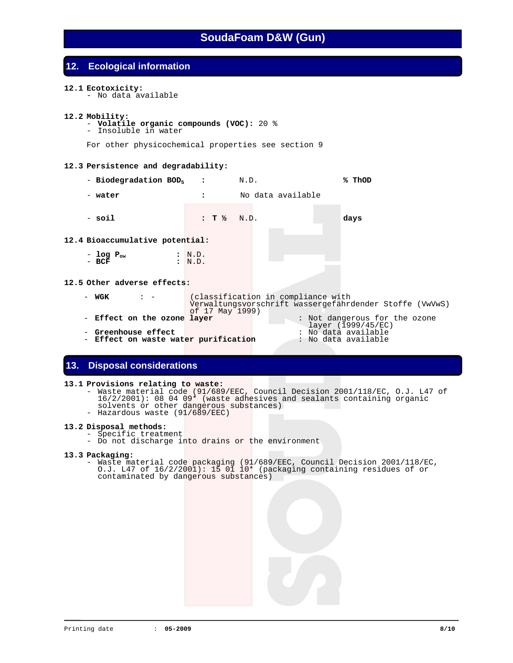## **12. Ecological information**

#### **12.1 Ecotoxicity:**

- No data available

#### **12.2 Mobility:**

- **Volatile organic compounds (VOC):** 20 % - Insoluble in water
	-

For other physicochemical properties see section 9

#### **12.3 Persistence and degradability:**

- - **Biodegradation BOD5 :** N.D. **% ThOD**
- - **water :** No data available
- 

- **soil : T ½** N.D. **days** 

- 
- 

#### **12.4 Bioaccumulative potential:**

- **log Pow :** N.D. - **BCF :** N.D.

#### **12.5 Other adverse effects:**

- **WGK** : (classification in compliance with Verwaltungsvorschrift wassergefährdender Stoffe (VwVwS) of 17 May 1999) - **Effect on the ozone layer** : Not dangerous for the ozone
- 
- 
- layer (1999/45/EC) **Greenhouse effect** : No data available **Effect on waste water purification** : No data available

# **13. Disposal considerations**

#### **13.1 Provisions relating to waste:**

- Waste material code (91/689/EEC, Council Decision 2001/118/EC, O.J. L47 of 16/2/2001): 08 04 09\* (waste adhesives and sealants containing organic solvents or other dangerous substances)
- Hazardous waste (91/689/EEC)

### **13.2 Disposal methods:**

- Specific treatment
- Do not discharge into drains or the environment

#### **13.3 Packaging:**

 - Waste material code packaging (91/689/EEC, Council Decision 2001/118/EC, O.J. L47 of 16/2/2001): 15 01 10\* (packaging containing residues of or contaminated by dangerous substances)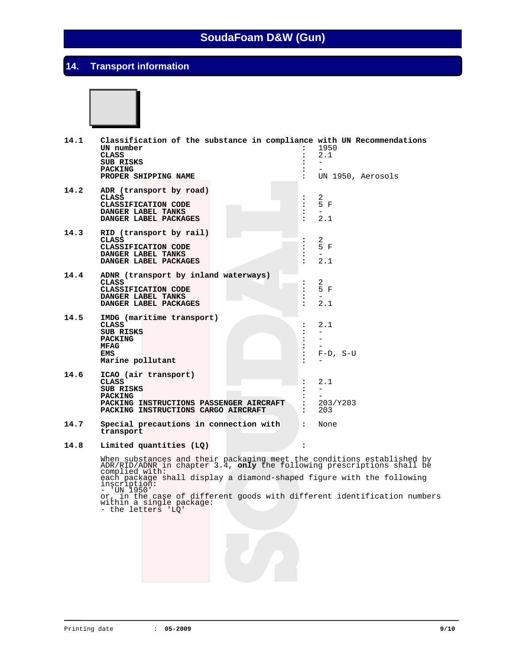# **14. Transport information**



| 14.1 | Classification of the substance in compliance with UN Recommendations<br>UN number<br><b>CLASS</b><br>SUB RISKS<br><b>PACKING</b><br>PROPER SHIPPING NAME                                                                                                                                                                                                                     |                                                                      | 1950<br>2.1<br>UN 1950, Aerosols |
|------|-------------------------------------------------------------------------------------------------------------------------------------------------------------------------------------------------------------------------------------------------------------------------------------------------------------------------------------------------------------------------------|----------------------------------------------------------------------|----------------------------------|
| 14.2 | ADR (transport by road)<br><b>CLASS</b><br>CLASSIFICATION CODE<br>DANGER LABEL TANKS<br>DANGER LABEL PACKAGES                                                                                                                                                                                                                                                                 | :<br>$\ddot{\phantom{a}}$<br>$\ddot{\phantom{a}}$<br>$\cdot$         | 2<br>5 F<br>$\equiv$<br>2.1      |
| 14.3 | RID (transport by rail)<br>CLASS<br>CLASSIFICATION CODE<br>DANGER LABEL TANKS<br>DANGER LABEL PACKAGES                                                                                                                                                                                                                                                                        | $\ddot{\phantom{a}}$<br>$\cdot$                                      | 2<br>5 F<br>2.1                  |
| 14.4 | ADNR (transport by inland waterways)<br><b>CLASS</b><br>CLASSIFICATION CODE<br>DANGER LABEL TANKS<br>DANGER LABEL PACKAGES                                                                                                                                                                                                                                                    | $\ddot{\phantom{a}}$<br>:<br>$\ddot{\phantom{a}}$                    | 2<br>5 F<br>$\equiv$<br>2.1      |
| 14.5 | IMDG (maritime transport)<br><b>CLASS</b><br><b>SUB RISKS</b><br><b>PACKING</b><br><b>MFAG</b><br>EMS<br>Marine pollutant                                                                                                                                                                                                                                                     | $\ddot{\cdot}$<br>:                                                  | 2.1<br>$F-D$ , S-U               |
| 14.6 | ICAO (air transport)<br><b>CLASS</b><br>SUB RISKS<br><b>PACKING</b><br>PACKING INSTRUCTIONS PASSENGER AIRCRAFT<br>PACKING INSTRUCTIONS CARGO AIRCRAFT                                                                                                                                                                                                                         | $\ddot{\phantom{a}}$<br>$\ddot{\phantom{a}}$<br>$\ddot{\phantom{a}}$ | 2.1<br>203/Y203<br>203           |
| 14.7 | Special precautions in connection with<br>transport                                                                                                                                                                                                                                                                                                                           | $\ddot{\phantom{a}}$                                                 | None                             |
| 14.8 | Limited quantities (LQ)                                                                                                                                                                                                                                                                                                                                                       | $\ddot{\phantom{a}}$                                                 |                                  |
|      | When substances and their packaging meet the conditions established by ADR/RID/ADNR in chapter 3.4, only the following prescriptions shall be<br>complied with:<br>each package shall display a diamond-shaped figure with the following<br>inscription:<br>'UN 1950'<br>or, in the case of different goods with different identification numbers<br>within a single package: |                                                                      |                                  |

- the letters 'LQ'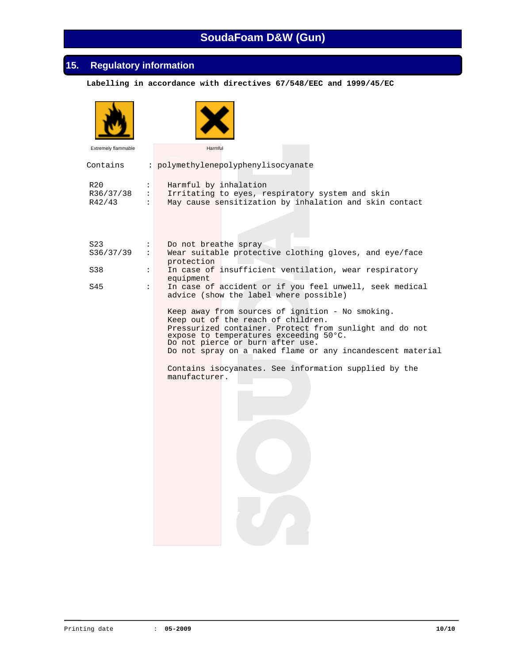# **15. Regulatory information**

 **Labelling in accordance with directives 67/548/EEC and 1999/45/EC**

| Extremely flammable        | Harmful                                                                                                                                                                                                                                                                                                                                                                 |  |
|----------------------------|-------------------------------------------------------------------------------------------------------------------------------------------------------------------------------------------------------------------------------------------------------------------------------------------------------------------------------------------------------------------------|--|
| Contains                   | : polymethylenepolyphenylisocyanate                                                                                                                                                                                                                                                                                                                                     |  |
| R20<br>R36/37/38<br>R42/43 | Harmful by inhalation<br>$\ddot{\phantom{a}}$<br>Irritating to eyes, respiratory system and skin<br>$\ddot{\phantom{a}}$<br>May cause sensitization by inhalation and skin contact<br>$\ddot{\phantom{a}}$                                                                                                                                                              |  |
| S23<br>S36/37/39           | Do not breathe spray<br>$\ddot{\cdot}$<br>Wear suitable protective clothing gloves, and eye/face<br>$\ddot{\phantom{a}}$<br>protection                                                                                                                                                                                                                                  |  |
| S38                        | In case of insufficient ventilation, wear respiratory<br>$\ddot{\phantom{a}}$<br>equipment                                                                                                                                                                                                                                                                              |  |
| S45                        | In case of accident or if you feel unwell, seek medical<br>$\ddot{\cdot}$<br>advice (show the label where possible)                                                                                                                                                                                                                                                     |  |
|                            | Keep away from sources of ignition - No smoking.<br>Keep out of the reach of children.<br>Pressurized container. Protect from sunlight and do not<br>expose to temperatures exceeding 50°C.<br>Do not pierce or burn after use.<br>Do not spray on a naked flame or any incandescent material<br>Contains isocyanates. See information supplied by the<br>manufacturer. |  |